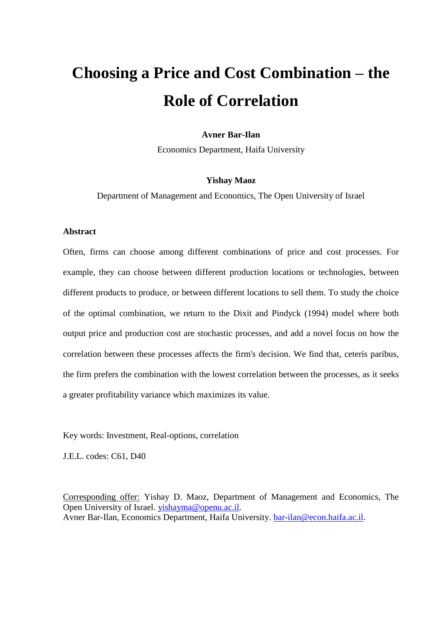# **Choosing a Price and Cost Combination – the Role of Correlation**

## **Avner Bar-Ilan**

Economics Department, Haifa University

#### **Yishay Maoz**

Department of Management and Economics, The Open University of Israel

### **Abstract**

Often, firms can choose among different combinations of price and cost processes. For example, they can choose between different production locations or technologies, between different products to produce, or between different locations to sell them. To study the choice of the optimal combination, we return to the Dixit and Pindyck (1994) model where both output price and production cost are stochastic processes, and add a novel focus on how the correlation between these processes affects the firm's decision. We find that, ceteris paribus, the firm prefers the combination with the lowest correlation between the processes, as it seeks a greater profitability variance which maximizes its value.

Key words: Investment, Real-options, correlation

J.E.L. codes: C61, D40

Corresponding offer: Yishay D. Maoz, Department of Management and Economics, The Open University of Israel. [yishayma@openu.ac.il.](mailto:yishayma@openu.ac.il) Avner Bar-Ilan, Economics Department, Haifa University. [bar-ilan@econ.haifa.ac.il.](mailto:bar-ilan@econ.haifa.ac.il)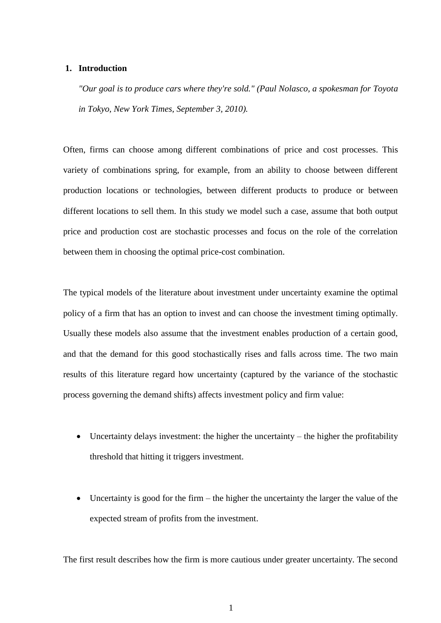#### **1. Introduction**

*"Our goal is to produce cars where they're sold." (Paul Nolasco, a spokesman for Toyota in Tokyo, New York Times, September 3, 2010).*

Often, firms can choose among different combinations of price and cost processes. This variety of combinations spring, for example, from an ability to choose between different production locations or technologies, between different products to produce or between different locations to sell them. In this study we model such a case, assume that both output price and production cost are stochastic processes and focus on the role of the correlation between them in choosing the optimal price-cost combination.

The typical models of the literature about investment under uncertainty examine the optimal policy of a firm that has an option to invest and can choose the investment timing optimally. Usually these models also assume that the investment enables production of a certain good, and that the demand for this good stochastically rises and falls across time. The two main results of this literature regard how uncertainty (captured by the variance of the stochastic process governing the demand shifts) affects investment policy and firm value:

- Uncertainty delays investment: the higher the uncertainty the higher the profitability threshold that hitting it triggers investment.
- Uncertainty is good for the firm the higher the uncertainty the larger the value of the expected stream of profits from the investment.

The first result describes how the firm is more cautious under greater uncertainty. The second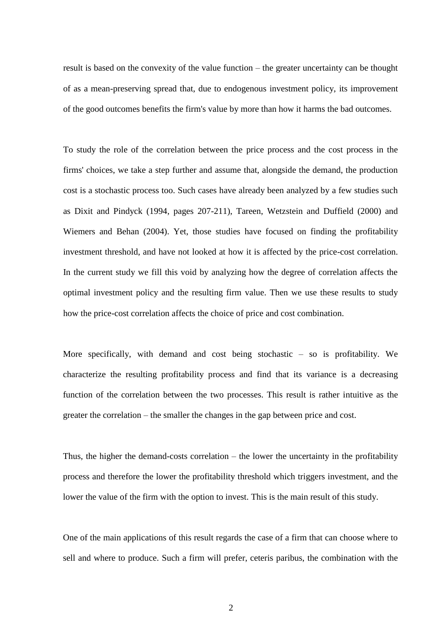result is based on the convexity of the value function – the greater uncertainty can be thought of as a mean-preserving spread that, due to endogenous investment policy, its improvement of the good outcomes benefits the firm's value by more than how it harms the bad outcomes.

To study the role of the correlation between the price process and the cost process in the firms' choices, we take a step further and assume that, alongside the demand, the production cost is a stochastic process too. Such cases have already been analyzed by a few studies such as Dixit and Pindyck (1994, pages 207-211), Tareen, Wetzstein and Duffield (2000) and Wiemers and Behan (2004). Yet, those studies have focused on finding the profitability investment threshold, and have not looked at how it is affected by the price-cost correlation. In the current study we fill this void by analyzing how the degree of correlation affects the optimal investment policy and the resulting firm value. Then we use these results to study how the price-cost correlation affects the choice of price and cost combination.

More specifically, with demand and cost being stochastic – so is profitability. We characterize the resulting profitability process and find that its variance is a decreasing function of the correlation between the two processes. This result is rather intuitive as the greater the correlation – the smaller the changes in the gap between price and cost.

Thus, the higher the demand-costs correlation – the lower the uncertainty in the profitability process and therefore the lower the profitability threshold which triggers investment, and the lower the value of the firm with the option to invest. This is the main result of this study.

One of the main applications of this result regards the case of a firm that can choose where to sell and where to produce. Such a firm will prefer, ceteris paribus, the combination with the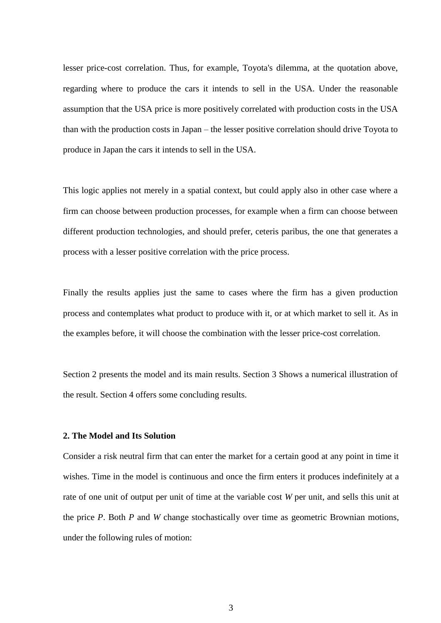lesser price-cost correlation. Thus, for example, Toyota's dilemma, at the quotation above, regarding where to produce the cars it intends to sell in the USA. Under the reasonable assumption that the USA price is more positively correlated with production costs in the USA than with the production costs in Japan – the lesser positive correlation should drive Toyota to produce in Japan the cars it intends to sell in the USA.

This logic applies not merely in a spatial context, but could apply also in other case where a firm can choose between production processes, for example when a firm can choose between different production technologies, and should prefer, ceteris paribus, the one that generates a process with a lesser positive correlation with the price process.

Finally the results applies just the same to cases where the firm has a given production process and contemplates what product to produce with it, or at which market to sell it. As in the examples before, it will choose the combination with the lesser price-cost correlation.

Section 2 presents the model and its main results. Section 3 Shows a numerical illustration of the result. Section 4 offers some concluding results.

## **2. The Model and Its Solution**

Consider a risk neutral firm that can enter the market for a certain good at any point in time it wishes. Time in the model is continuous and once the firm enters it produces indefinitely at a rate of one unit of output per unit of time at the variable cost *W* per unit, and sells this unit at the price *P*. Both *P* and *W* change stochastically over time as geometric Brownian motions, under the following rules of motion: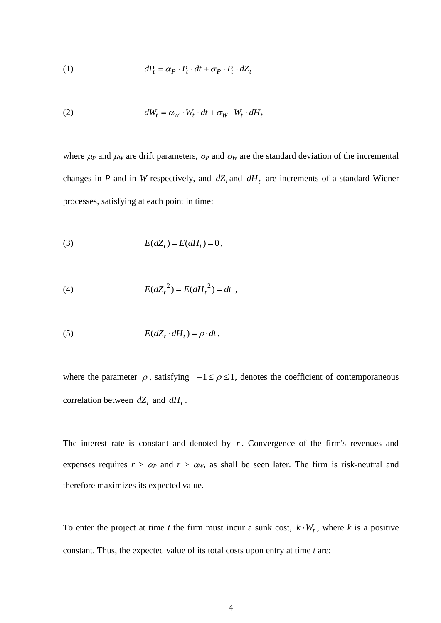(1) 
$$
dP_t = \alpha_P \cdot P_t \cdot dt + \sigma_P \cdot P_t \cdot dZ_t
$$

(2) 
$$
dW_t = \alpha_W \cdot W_t \cdot dt + \sigma_W \cdot W_t \cdot dH_t
$$

where  $\mu$  and  $\mu$ <sub>*W*</sub> are drift parameters,  $\sigma$ <sup>*P*</sup> and  $\sigma$ <sub>*W*</sub> are the standard deviation of the incremental changes in *P* and in *W* respectively, and  $dZ_t$  and  $dH_t$  are increments of a standard Wiener processes, satisfying at each point in time:

$$
(3) \tE(dZ_t) = E(dH_t) = 0,
$$

(4) 
$$
E(dZ_t^2) = E(dH_t^2) = dt,
$$

(5) 
$$
E(dZ_t \cdot dH_t) = \rho \cdot dt,
$$

where the parameter  $\rho$ , satisfying  $-1 \le \rho \le 1$ , denotes the coefficient of contemporaneous correlation between  $dZ_t$  and  $dH_t$ .

The interest rate is constant and denoted by  $r$ . Convergence of the firm's revenues and expenses requires  $r > \alpha_p$  and  $r > \alpha_w$ , as shall be seen later. The firm is risk-neutral and therefore maximizes its expected value.

To enter the project at time *t* the firm must incur a sunk cost,  $k \cdot W_t$ , where *k* is a positive constant. Thus, the expected value of its total costs upon entry at time *t* are: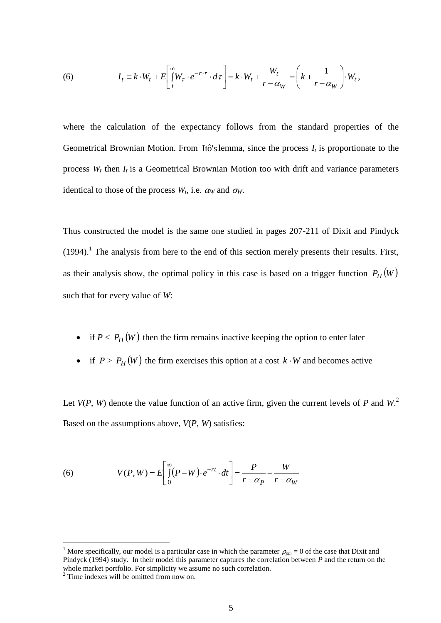(6) 
$$
I_t = k \cdot W_t + E \left[ \int_t^{\infty} W_{\tau} \cdot e^{-r \cdot \tau} \cdot d\tau \right] = k \cdot W_t + \frac{W_t}{r - \alpha_W} = \left( k + \frac{1}{r - \alpha_W} \right) \cdot W_t,
$$

where the calculation of the expectancy follows from the standard properties of the Geometrical Brownian Motion. From Itô's lemma, since the process  $I_t$  is proportionate to the process *W<sup>t</sup>* then *I<sup>t</sup>* is a Geometrical Brownian Motion too with drift and variance parameters identical to those of the process  $W_t$ , i.e.  $\alpha_W$  and  $\sigma_W$ .

Thus constructed the model is the same one studied in pages 207-211 of Dixit and Pindyck  $(1994).$ <sup>1</sup> The analysis from here to the end of this section merely presents their results. First, as their analysis show, the optimal policy in this case is based on a trigger function  $P_H(W)$ such that for every value of *W*:

- if  $P < P_H(W)$  then the firm remains inactive keeping the option to enter later
- if  $P > P_H(W)$  the firm exercises this option at a cost  $k \cdot W$  and becomes active

Let  $V(P, W)$  denote the value function of an active firm, given the current levels of  $P$  and  $W$ . Based on the assumptions above, *V*(*P*, *W*) satisfies:

(6) 
$$
V(P, W) = E \left[ \int_{0}^{\infty} (P - W) \cdot e^{-rt} \cdot dt \right] = \frac{P}{r - \alpha_P} - \frac{W}{r - \alpha_W}
$$

1

<sup>&</sup>lt;sup>1</sup> More specifically, our model is a particular case in which the parameter  $\rho_{mn} = 0$  of the case that Dixit and Pindyck (1994) study. In their model this parameter captures the correlation between *P* and the return on the whole market portfolio. For simplicity we assume no such correlation.

<sup>&</sup>lt;sup>2</sup> Time indexes will be omitted from now on.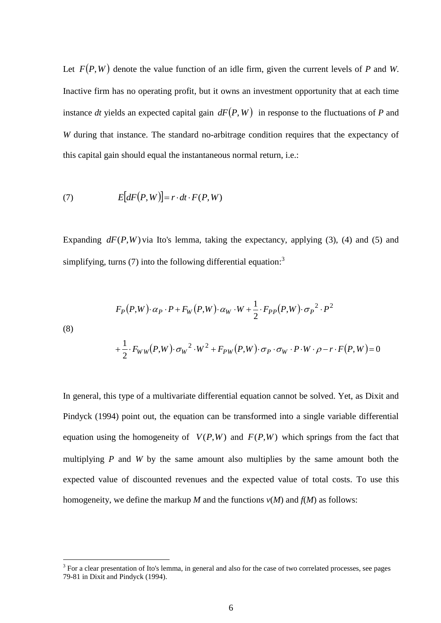Let  $F(P, W)$  denote the value function of an idle firm, given the current levels of P and W. Inactive firm has no operating profit, but it owns an investment opportunity that at each time instance dt yields an expected capital gain  $dF(P, W)$  in response to the fluctuations of P and *W* during that instance. The standard no-arbitrage condition requires that the expectancy of this capital gain should equal the instantaneous normal return, i.e.:

(7) 
$$
E[dF(P, W)] = r \cdot dt \cdot F(P, W)
$$

1

Expanding  $dF(P, W)$  via Ito's lemma, taking the expectancy, applying (3), (4) and (5) and simplifying, turns (7) into the following differential equation:<sup>3</sup>

(8)  
\n
$$
F_P(P,W) \cdot \alpha_P \cdot P + F_W(P,W) \cdot \alpha_W \cdot W + \frac{1}{2} \cdot F_{PP}(P,W) \cdot \sigma_P^2 \cdot P^2
$$
\n
$$
+ \frac{1}{2} \cdot F_{WW}(P,W) \cdot \sigma_W^2 \cdot W^2 + F_{PW}(P,W) \cdot \sigma_P \cdot \sigma_W \cdot P \cdot W \cdot \rho - r \cdot F(P,W) = 0
$$

In general, this type of a multivariate differential equation cannot be solved. Yet, as Dixit and Pindyck (1994) point out, the equation can be transformed into a single variable differential equation using the homogeneity of  $V(P, W)$  and  $F(P, W)$  which springs from the fact that multiplying *P* and *W* by the same amount also multiplies by the same amount both the expected value of discounted revenues and the expected value of total costs. To use this homogeneity, we define the markup *M* and the functions  $v(M)$  and  $f(M)$  as follows:

 $3$  For a clear presentation of Ito's lemma, in general and also for the case of two correlated processes, see pages 79-81 in Dixit and Pindyck (1994).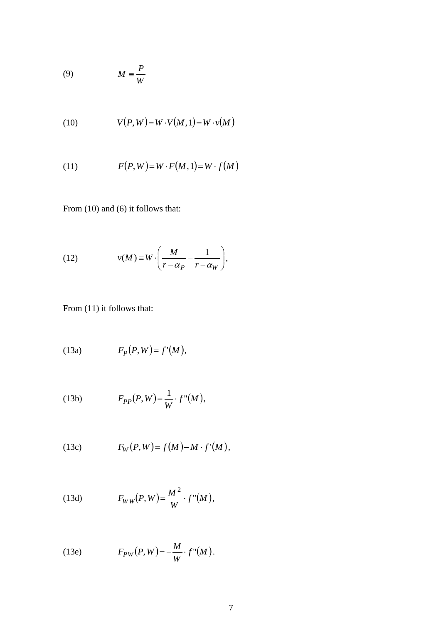$$
(9) \t\t M \equiv \frac{P}{W}
$$

$$
(10) \tV(P, W) = W \cdot V(M, 1) = W \cdot v(M)
$$

$$
(11) \tF(P,W)=W \cdot F(M,1)=W \cdot f(M)
$$

From (10) and (6) it follows that:

(12) 
$$
v(M) \equiv W \cdot \left(\frac{M}{r - \alpha_P} - \frac{1}{r - \alpha_W}\right),
$$

From  $(11)$  it follows that:

$$
(13a) \tFP(P,W)=f'(M),
$$

(13b) 
$$
F_{PP}(P,W) = \frac{1}{W} \cdot f''(M),
$$

(13c) 
$$
F_W(P,W) = f(M) - M \cdot f'(M),
$$

(13d) 
$$
F_{WW}(P,W) = \frac{M^2}{W} \cdot f''(M),
$$

(13e) 
$$
F_{PW}(P,W) = -\frac{M}{W} \cdot f''(M).
$$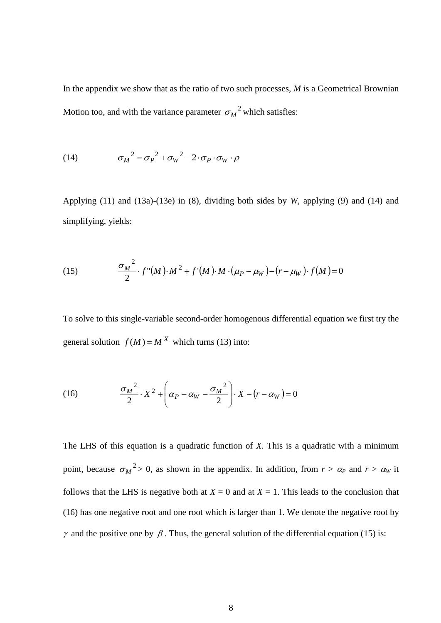In the appendix we show that as the ratio of two such processes, *M* is a Geometrical Brownian Motion too, and with the variance parameter  $\sigma_M^2$  which satisfies:

(14) 
$$
\sigma_M^2 = \sigma_P^2 + \sigma_W^2 - 2 \cdot \sigma_P \cdot \sigma_W \cdot \rho
$$

Applying (11) and (13a)-(13e) in (8), dividing both sides by *W*, applying (9) and (14) and simplifying, yields:

(15) 
$$
\frac{\sigma_M^2}{2} \cdot f''(M) \cdot M^2 + f'(M) \cdot M \cdot (\mu_P - \mu_W) - (r - \mu_W) \cdot f(M) = 0
$$

To solve to this single-variable second-order homogenous differential equation we first try the general solution  $f(M) = M^X$  which turns (13) into:

(16) 
$$
\frac{\sigma_M^2}{2} \cdot X^2 + \left(\alpha_P - \alpha_W - \frac{\sigma_M^2}{2}\right) \cdot X - \left(r - \alpha_W\right) = 0
$$

The LHS of this equation is a quadratic function of *X.* This is a quadratic with a minimum point, because  $\sigma_M^2 > 0$ , as shown in the appendix. In addition, from  $r > \alpha_P$  and  $r > \alpha_W$  it follows that the LHS is negative both at  $X = 0$  and at  $X = 1$ . This leads to the conclusion that (16) has one negative root and one root which is larger than 1. We denote the negative root by  $\gamma$  and the positive one by  $\beta$ . Thus, the general solution of the differential equation (15) is: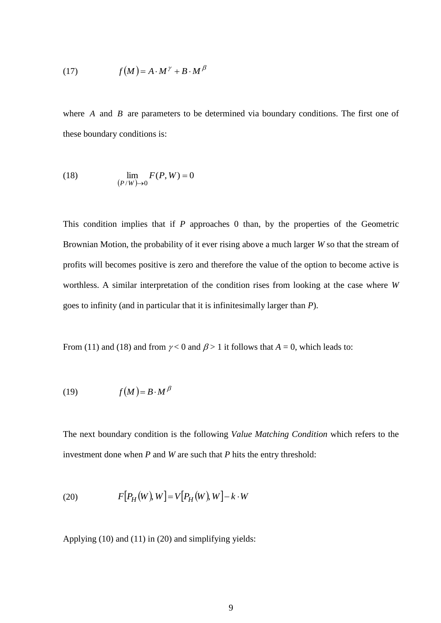(17) 
$$
f(M) = A \cdot M^{\gamma} + B \cdot M^{\beta}
$$

where  $A$  and  $B$  are parameters to be determined via boundary conditions. The first one of these boundary conditions is:

(18) 
$$
\lim_{(P/W)\to 0} F(P,W) = 0
$$

This condition implies that if *P* approaches 0 than, by the properties of the Geometric Brownian Motion, the probability of it ever rising above a much larger *W* so that the stream of profits will becomes positive is zero and therefore the value of the option to become active is worthless. A similar interpretation of the condition rises from looking at the case where *W* goes to infinity (and in particular that it is infinitesimally larger than *P*).

From (11) and (18) and from  $\gamma$  < 0 and  $\beta$  > 1 it follows that  $A = 0$ , which leads to:

$$
(19) \t f(M) = B \cdot M^{\beta}
$$

The next boundary condition is the following *Value Matching Condition* which refers to the investment done when *P* and *W* are such that *P* hits the entry threshold:

(20) 
$$
F[P_H(W), W] = V[P_H(W), W] - k \cdot W
$$

Applying (10) and (11) in (20) and simplifying yields: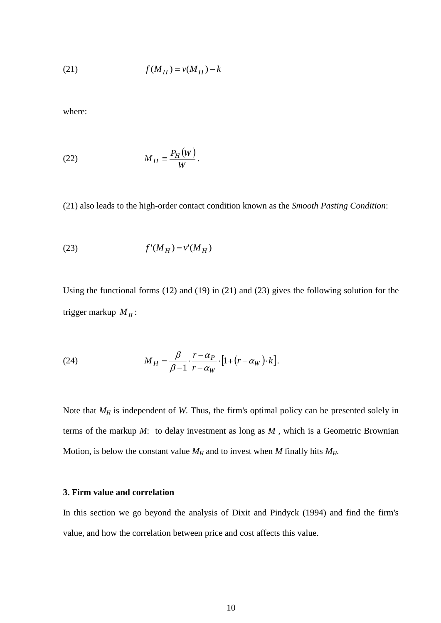$$
(21) \t f(M_H) = v(M_H) - k
$$

where:

$$
(22) \t\t\t M_H \equiv \frac{P_H(W)}{W}.
$$

(21) also leads to the high-order contact condition known as the *Smooth Pasting Condition*:

$$
(23) \t f'(M_H) = v'(M_H)
$$

Using the functional forms (12) and (19) in (21) and (23) gives the following solution for the trigger markup  $M_H$ :

(24) 
$$
M_H = \frac{\beta}{\beta - 1} \cdot \frac{r - \alpha_P}{r - \alpha_W} \cdot [1 + (r - \alpha_W) \cdot k].
$$

Note that  $M_H$  is independent of *W*. Thus, the firm's optimal policy can be presented solely in terms of the markup *M*: to delay investment as long as *M* , which is a Geometric Brownian Motion, is below the constant value  $M_H$  and to invest when *M* finally hits  $M_H$ .

#### **3. Firm value and correlation**

In this section we go beyond the analysis of Dixit and Pindyck (1994) and find the firm's value, and how the correlation between price and cost affects this value.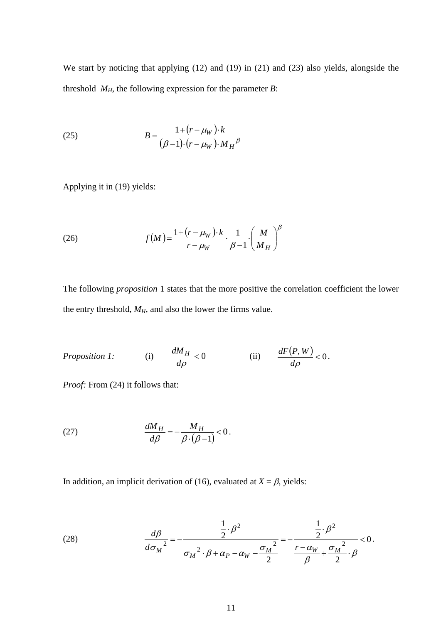We start by noticing that applying (12) and (19) in (21) and (23) also yields, alongside the threshold  $M_H$ , the following expression for the parameter *B*:

(25) 
$$
B = \frac{1 + (r - \mu_W) \cdot k}{(\beta - 1) \cdot (r - \mu_W) \cdot M_H{}^{\beta}}
$$

Applying it in (19) yields:

(26) 
$$
f(M) = \frac{1 + (r - \mu_W) \cdot k}{r - \mu_W} \cdot \frac{1}{\beta - 1} \cdot \left(\frac{M}{M_H}\right)^{\beta}
$$

The following *proposition* 1 states that the more positive the correlation coefficient the lower the entry threshold,  $M_H$ , and also the lower the firms value.

*Proposition 1:* (i) 
$$
\frac{dM_H}{d\rho} < 0
$$
 (ii)  $\frac{dF(P,W)}{d\rho} < 0$ .

*Proof:* From (24) it follows that:

$$
\frac{dM_H}{d\beta} = -\frac{M_H}{\beta \cdot (\beta - 1)} < 0.
$$

In addition, an implicit derivation of (16), evaluated at  $X = \beta$ , yields:

(28) 
$$
\frac{d\beta}{d\sigma_M^2} = -\frac{\frac{1}{2} \cdot \beta^2}{\sigma_M^2 \cdot \beta + \alpha_P - \alpha_W - \frac{\sigma_M^2}{2}} = -\frac{\frac{1}{2} \cdot \beta^2}{\frac{r - \alpha_W}{\beta} + \frac{\sigma_M^2}{2} \cdot \beta} < 0.
$$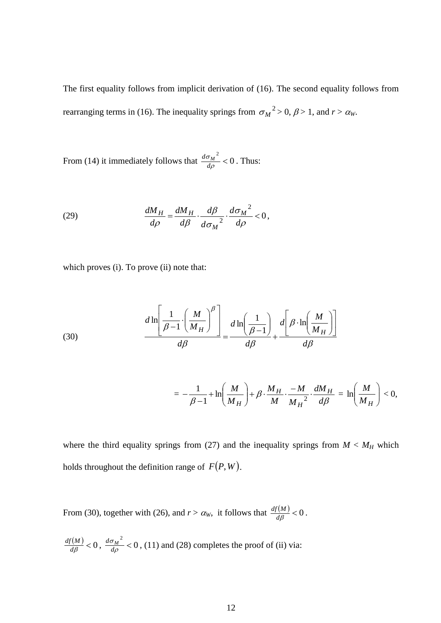The first equality follows from implicit derivation of (16). The second equality follows from rearranging terms in (16). The inequality springs from  $\sigma_M^2 > 0$ ,  $\beta > 1$ , and  $r > \alpha_W$ .

From (14) it immediately follows that  $\frac{d\sigma_M^2}{d\rho} < 0$  $\sigma$ *d*  $\frac{d\sigma_M}{}$  < 0. Thus:

(29) 
$$
\frac{dM_H}{d\rho} = \frac{dM_H}{d\beta} \cdot \frac{d\beta}{d\sigma_M^2} \cdot \frac{d\sigma_M^2}{d\rho} < 0,
$$

which proves (i). To prove (ii) note that:

(30) 
$$
\frac{d \ln \left[\frac{1}{\beta - 1} \cdot \left(\frac{M}{M_H}\right)^{\beta}\right]}{d \beta} = \frac{d \ln \left(\frac{1}{\beta - 1}\right)}{d \beta} + \frac{d \left[\beta \cdot \ln \left(\frac{M}{M_H}\right)\right]}{d \beta}
$$

$$
= -\frac{1}{\beta-1} + \ln\left(\frac{M}{M_H}\right) + \beta \cdot \frac{M_H}{M} \cdot \frac{-M}{M_H^2} \cdot \frac{dM_H}{d\beta} = \ln\left(\frac{M}{M_H}\right) < 0,
$$

where the third equality springs from (27) and the inequality springs from  $M < M_H$  which holds throughout the definition range of  $F(P, W)$ .

From (30), together with (26), and  $r > \alpha_w$ , it follows that  $\frac{df(M)}{d\beta} < 0$  $\frac{df(M)}{d\rho}$  < 0.

$$
\frac{df(M)}{d\beta} < 0, \ \frac{d\sigma_M^2}{d\rho} < 0, (11) \text{ and } (28) \text{ completes the proof of (ii) via:}
$$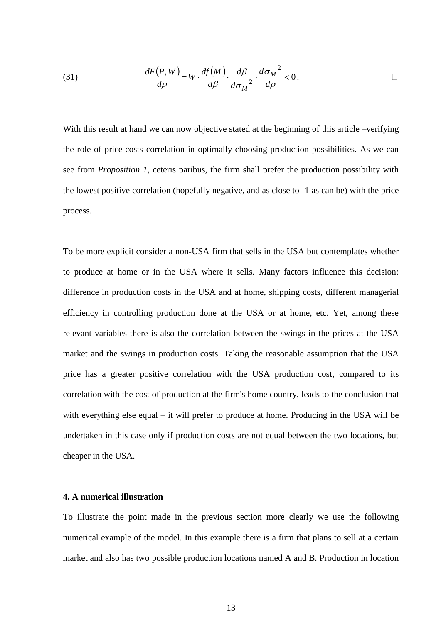(31) 
$$
\frac{dF(P,W)}{d\rho} = W \cdot \frac{df(M)}{d\beta} \cdot \frac{d\beta}{d\sigma_M^2} \cdot \frac{d\sigma_M^2}{d\rho} < 0.
$$

With this result at hand we can now objective stated at the beginning of this article –verifying the role of price-costs correlation in optimally choosing production possibilities. As we can see from *Proposition 1*, ceteris paribus, the firm shall prefer the production possibility with the lowest positive correlation (hopefully negative, and as close to -1 as can be) with the price process.

To be more explicit consider a non-USA firm that sells in the USA but contemplates whether to produce at home or in the USA where it sells. Many factors influence this decision: difference in production costs in the USA and at home, shipping costs, different managerial efficiency in controlling production done at the USA or at home, etc. Yet, among these relevant variables there is also the correlation between the swings in the prices at the USA market and the swings in production costs. Taking the reasonable assumption that the USA price has a greater positive correlation with the USA production cost, compared to its correlation with the cost of production at the firm's home country, leads to the conclusion that with everything else equal – it will prefer to produce at home. Producing in the USA will be undertaken in this case only if production costs are not equal between the two locations, but cheaper in the USA.

### **4. A numerical illustration**

To illustrate the point made in the previous section more clearly we use the following numerical example of the model. In this example there is a firm that plans to sell at a certain market and also has two possible production locations named A and B. Production in location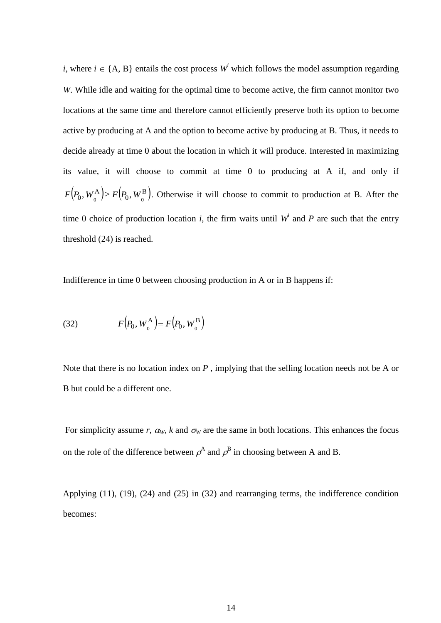*i*, where  $i \in \{A, B\}$  entails the cost process  $W^i$  which follows the model assumption regarding *W*. While idle and waiting for the optimal time to become active, the firm cannot monitor two locations at the same time and therefore cannot efficiently preserve both its option to become active by producing at A and the option to become active by producing at B. Thus, it needs to decide already at time 0 about the location in which it will produce. Interested in maximizing its value, it will choose to commit at time 0 to producing at A if, and only if  $(P_0, W_{0}^{\rm A}) \geq F(P_0, W_{0}^{\rm B}).$  $\boldsymbol{0}$ A  $F(P_0, W_0^{\mathbf{A}}) \ge F(P_0, W_0^{\mathbf{B}})$ . Otherwise it will choose to commit to production at B. After the time 0 choice of production location *i*, the firm waits until  $W^i$  and P are such that the entry threshold (24) is reached.

Indifference in time 0 between choosing production in A or in B happens if:

(32) 
$$
F(P_0, W_0^{\mathbf{A}}) = F(P_0, W_0^{\mathbf{B}})
$$

Note that there is no location index on *P* , implying that the selling location needs not be A or B but could be a different one.

For simplicity assume *r*,  $\alpha_W$ , *k* and  $\sigma_W$  are the same in both locations. This enhances the focus on the role of the difference between  $\rho^A$  and  $\rho^B$  in choosing between A and B.

Applying (11), (19), (24) and (25) in (32) and rearranging terms, the indifference condition becomes: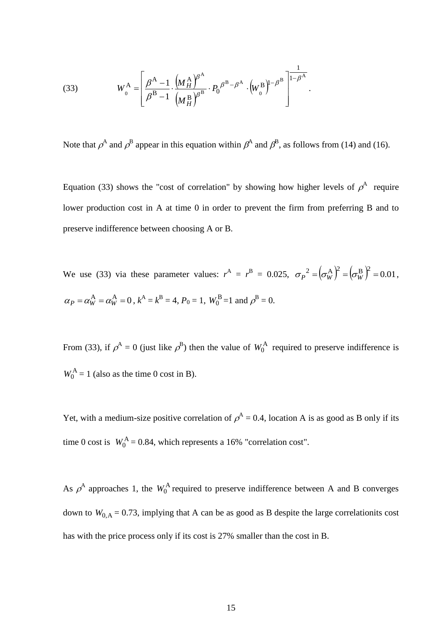(33) 
$$
W_0^{\mathbf{A}} = \left[ \frac{\beta^{\mathbf{A}} - 1}{\beta^{\mathbf{B}} - 1} \cdot \frac{(M_H^{\mathbf{A}})^{\beta^{\mathbf{A}}}}{(M_H^{\mathbf{B}})^{\beta^{\mathbf{B}}}} \cdot P_0^{\beta^{\mathbf{B}} - \beta^{\mathbf{A}}} \cdot (W_0^{\mathbf{B}})^{1 - \beta^{\mathbf{B}}} \right]^{1 - \beta^{\mathbf{A}}}.
$$

Note that  $\rho^A$  and  $\rho^B$  appear in this equation within  $\rho^A$  and  $\rho^B$ , as follows from (14) and (16).

Equation (33) shows the "cost of correlation" by showing how higher levels of  $\rho^A$  require lower production cost in A at time 0 in order to prevent the firm from preferring B and to preserve indifference between choosing A or B.

We use (33) via these parameter values:  $r^A = r^B = 0.025$ ,  $\sigma_P^2 = (\sigma_W^A)^2 = (\sigma_W^B)^2 = 0.01$ ,  $\alpha_P = \alpha_W^{\text{A}} = \alpha_W^{\text{A}} = 0$ ,  $k^{\text{A}} = k^{\text{B}} = 4$ ,  $P_0 = 1$ ,  $W_0^{\text{B}} = 1$  and  $\rho^{\text{B}} = 0$ .

From (33), if  $\rho^A = 0$  (just like  $\rho^B$ ) then the value of  $W_0^A$  required to preserve indifference is  $W_0^{\text{A}} = 1$  (also as the time 0 cost in B).

Yet, with a medium-size positive correlation of  $\rho^A = 0.4$ , location A is as good as B only if its time 0 cost is  $W_0^A = 0.84$ , which represents a 16% "correlation cost".

As  $\rho^A$  approaches 1, the  $W_0^A$  required to preserve indifference between A and B converges down to  $W_{0,A} = 0.73$ , implying that A can be as good as B despite the large correlationits cost has with the price process only if its cost is 27% smaller than the cost in B.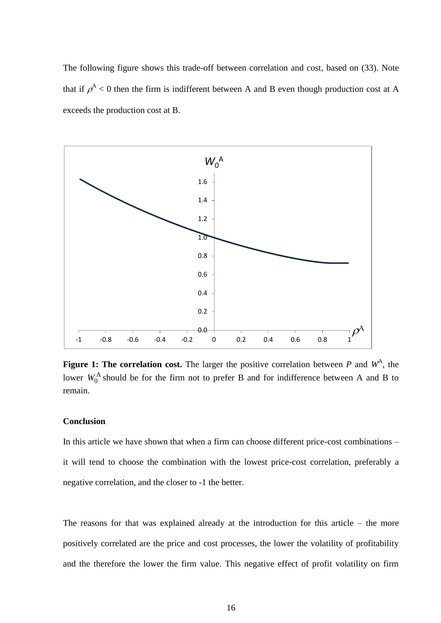The following figure shows this trade-off between correlation and cost, based on (33). Note that if  $\rho^A$  < 0 then the firm is indifferent between A and B even though production cost at A exceeds the production cost at B.



**Figure 1: The correlation cost.** The larger the positive correlation between  $P$  and  $W^A$ , the lower  $W_0^A$  should be for the firm not to prefer B and for indifference between A and B to remain.

#### **Conclusion**

In this article we have shown that when a firm can choose different price-cost combinations – it will tend to choose the combination with the lowest price-cost correlation, preferably a negative correlation, and the closer to -1 the better.

The reasons for that was explained already at the introduction for this article – the more positively correlated are the price and cost processes, the lower the volatility of profitability and the therefore the lower the firm value. This negative effect of profit volatility on firm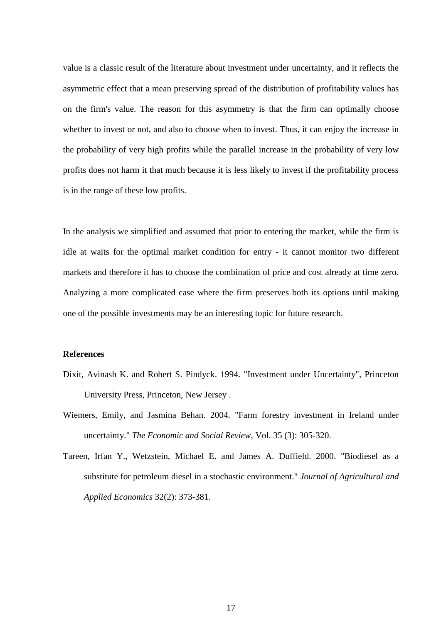value is a classic result of the literature about investment under uncertainty, and it reflects the asymmetric effect that a mean preserving spread of the distribution of profitability values has on the firm's value. The reason for this asymmetry is that the firm can optimally choose whether to invest or not, and also to choose when to invest. Thus, it can enjoy the increase in the probability of very high profits while the parallel increase in the probability of very low profits does not harm it that much because it is less likely to invest if the profitability process is in the range of these low profits.

In the analysis we simplified and assumed that prior to entering the market, while the firm is idle at waits for the optimal market condition for entry - it cannot monitor two different markets and therefore it has to choose the combination of price and cost already at time zero. Analyzing a more complicated case where the firm preserves both its options until making one of the possible investments may be an interesting topic for future research.

## **References**

- Dixit, Avinash K. and Robert S. Pindyck. 1994. "Investment under Uncertainty", Princeton University Press, Princeton, New Jersey .
- Wiemers, Emily, and Jasmina Behan. 2004. "Farm forestry investment in Ireland under uncertainty." *The Economic and Social Review*, Vol. 35 (3): 305-320.
- Tareen, Irfan Y., Wetzstein, Michael E. and James A. Duffield. 2000. "Biodiesel as a substitute for petroleum diesel in a stochastic environment." *Journal of Agricultural and Applied Economics* 32(2): 373-381.